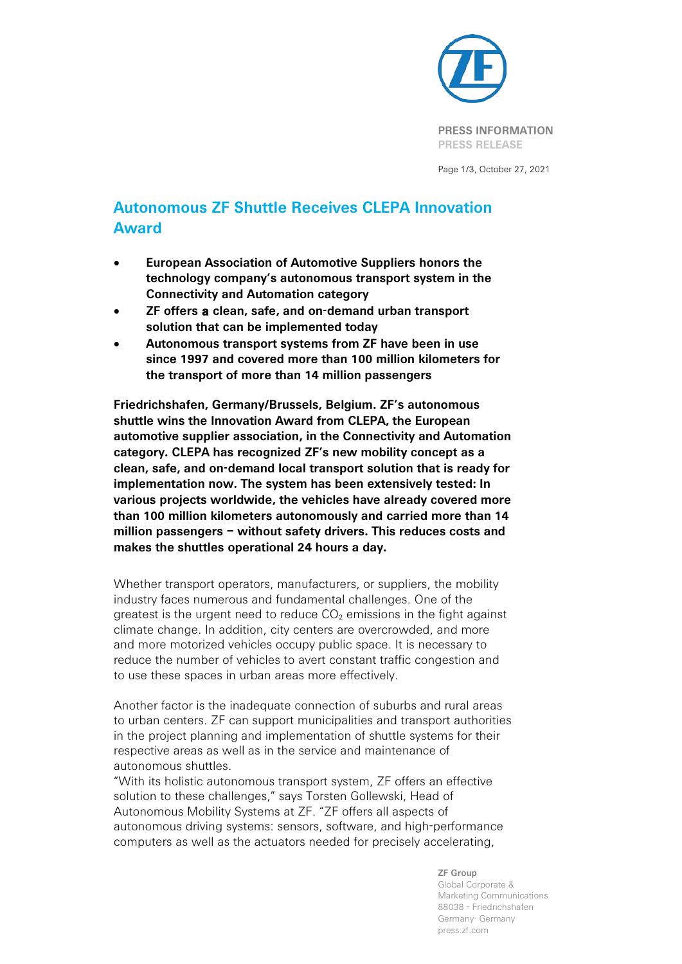

Page 1/3, October 27, 2021

## **Autonomous ZF Shuttle Receives CLEPA Innovation Award**

- **European Association of Automotive Suppliers honors the technology company's autonomous transport system in the Connectivity and Automation category**
- **ZF offers a clean, safe, and on-demand urban transport solution that can be implemented today**
- **Autonomous transport systems from ZF have been in use since 1997 and covered more than 100 million kilometers for the transport of more than 14 million passengers**

**Friedrichshafen, Germany/Brussels, Belgium. ZF's autonomous shuttle wins the Innovation Award from CLEPA, the European automotive supplier association, in the Connectivity and Automation category. CLEPA has recognized ZF's new mobility concept as a clean, safe, and on-demand local transport solution that is ready for implementation now. The system has been extensively tested: In various projects worldwide, the vehicles have already covered more than 100 million kilometers autonomously and carried more than 14 million passengers – without safety drivers. This reduces costs and makes the shuttles operational 24 hours a day.**

Whether transport operators, manufacturers, or suppliers, the mobility industry faces numerous and fundamental challenges. One of the greatest is the urgent need to reduce  $CO<sub>2</sub>$  emissions in the fight against climate change. In addition, city centers are overcrowded, and more and more motorized vehicles occupy public space. It is necessary to reduce the number of vehicles to avert constant traffic congestion and to use these spaces in urban areas more effectively.

Another factor is the inadequate connection of suburbs and rural areas to urban centers. ZF can support municipalities and transport authorities in the project planning and implementation of shuttle systems for their respective areas as well as in the service and maintenance of autonomous shuttles.

"With its holistic autonomous transport system, ZF offers an effective solution to these challenges," says Torsten Gollewski, Head of Autonomous Mobility Systems at ZF. "ZF offers all aspects of autonomous driving systems: sensors, software, and high-performance computers as well as the actuators needed for precisely accelerating,

> **ZF Group** Global Corporate & Marketing Communications 88038 - Friedrichshafen Germany· Germany press.zf.com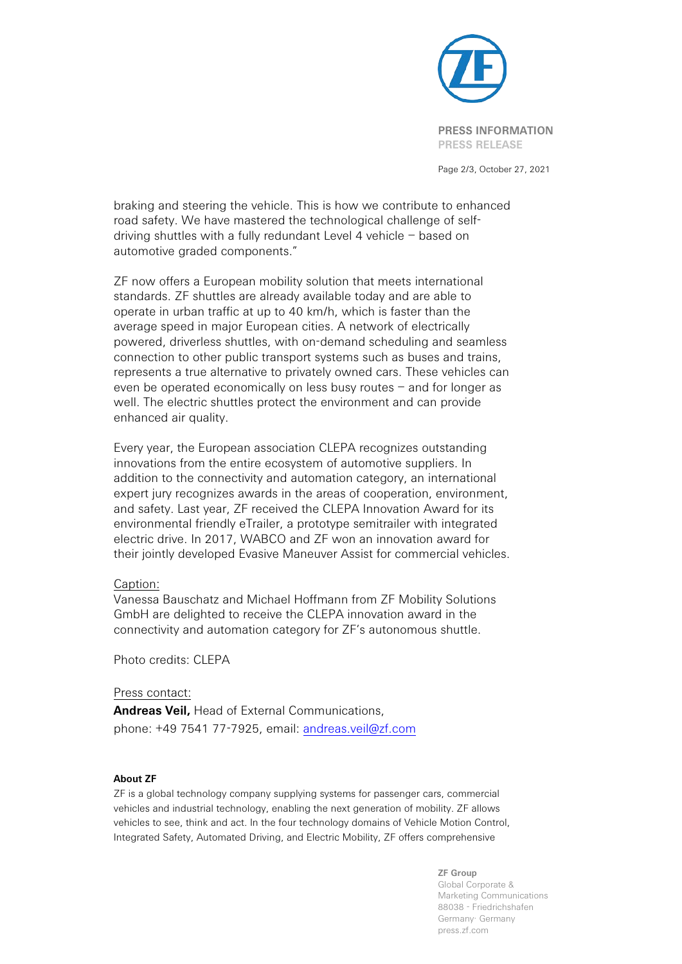

Page 2/3, October 27, 2021

braking and steering the vehicle. This is how we contribute to enhanced road safety. We have mastered the technological challenge of selfdriving shuttles with a fully redundant Level 4 vehicle – based on automotive graded components."

ZF now offers a European mobility solution that meets international standards. ZF shuttles are already available today and are able to operate in urban traffic at up to 40 km/h, which is faster than the average speed in major European cities. A network of electrically powered, driverless shuttles, with on-demand scheduling and seamless connection to other public transport systems such as buses and trains, represents a true alternative to privately owned cars. These vehicles can even be operated economically on less busy routes – and for longer as well. The electric shuttles protect the environment and can provide enhanced air quality.

Every year, the European association CLEPA recognizes outstanding innovations from the entire ecosystem of automotive suppliers. In addition to the connectivity and automation category, an international expert jury recognizes awards in the areas of cooperation, environment, and safety. Last year, ZF received the CLEPA Innovation Award for its environmental friendly eTrailer, a prototype semitrailer with integrated electric drive. In 2017, WABCO and ZF won an innovation award for their jointly developed Evasive Maneuver Assist for commercial vehicles.

## Caption:

Vanessa Bauschatz and Michael Hoffmann from ZF Mobility Solutions GmbH are delighted to receive the CLEPA innovation award in the connectivity and automation category for ZF's autonomous shuttle.

Photo credits: CLEPA

## Press contact:

**Andreas Veil,** Head of External Communications, phone: +49 7541 77-7925, email: [andreas.veil@zf.com](mailto:andreas.veil@zf.com)

## **About ZF**

ZF is a global technology company supplying systems for passenger cars, commercial vehicles and industrial technology, enabling the next generation of mobility. ZF allows vehicles to see, think and act. In the four technology domains of Vehicle Motion Control, Integrated Safety, Automated Driving, and Electric Mobility, ZF offers comprehensive

> **ZF Group** Global Corporate & Marketing Communications 88038 - Friedrichshafen Germany· Germany press.zf.com